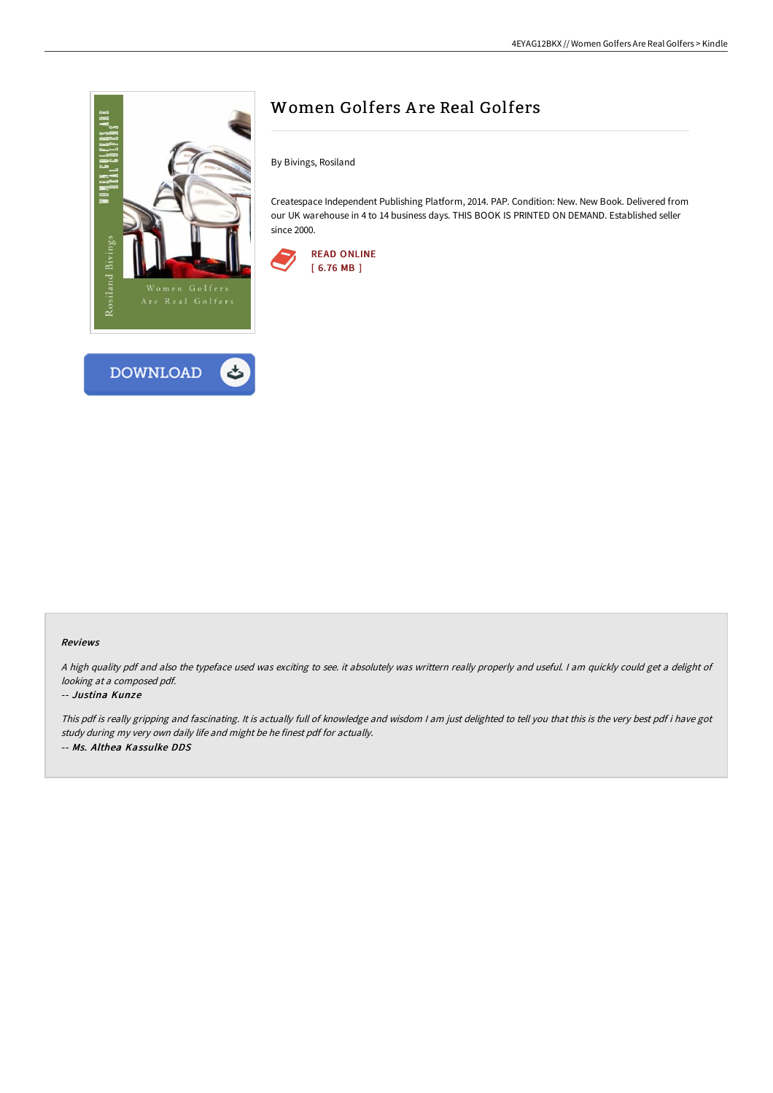



# Women Golfers A re Real Golfers

By Bivings, Rosiland

Createspace Independent Publishing Platform, 2014. PAP. Condition: New. New Book. Delivered from our UK warehouse in 4 to 14 business days. THIS BOOK IS PRINTED ON DEMAND. Established seller since 2000.



#### Reviews

<sup>A</sup> high quality pdf and also the typeface used was exciting to see. it absolutely was writtern really properly and useful. <sup>I</sup> am quickly could get <sup>a</sup> delight of looking at <sup>a</sup> composed pdf.

### -- Justina Kunze

This pdf is really gripping and fascinating. It is actually full of knowledge and wisdom I am just delighted to tell you that this is the very best pdf i have got study during my very own daily life and might be he finest pdf for actually. -- Ms. Althea Kassulke DDS